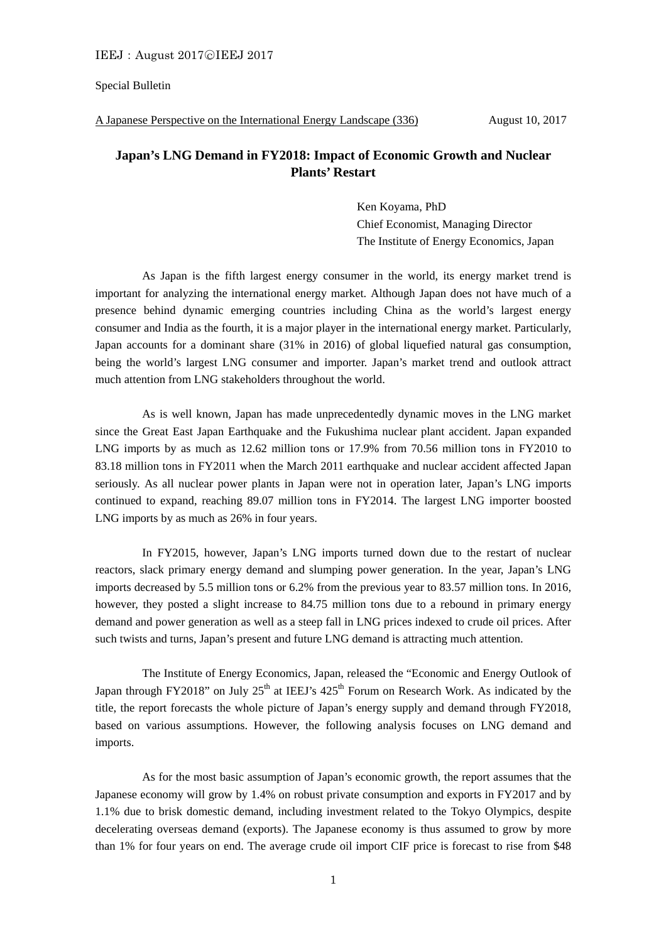## Special Bulletin

A Japanese Perspective on the International Energy Landscape (336) August 10, 2017

## **Japan's LNG Demand in FY2018: Impact of Economic Growth and Nuclear Plants' Restart**

Ken Koyama, PhD Chief Economist, Managing Director The Institute of Energy Economics, Japan

 As Japan is the fifth largest energy consumer in the world, its energy market trend is important for analyzing the international energy market. Although Japan does not have much of a presence behind dynamic emerging countries including China as the world's largest energy consumer and India as the fourth, it is a major player in the international energy market. Particularly, Japan accounts for a dominant share (31% in 2016) of global liquefied natural gas consumption, being the world's largest LNG consumer and importer. Japan's market trend and outlook attract much attention from LNG stakeholders throughout the world.

 As is well known, Japan has made unprecedentedly dynamic moves in the LNG market since the Great East Japan Earthquake and the Fukushima nuclear plant accident. Japan expanded LNG imports by as much as 12.62 million tons or 17.9% from 70.56 million tons in FY2010 to 83.18 million tons in FY2011 when the March 2011 earthquake and nuclear accident affected Japan seriously. As all nuclear power plants in Japan were not in operation later, Japan's LNG imports continued to expand, reaching 89.07 million tons in FY2014. The largest LNG importer boosted LNG imports by as much as 26% in four years.

 In FY2015, however, Japan's LNG imports turned down due to the restart of nuclear reactors, slack primary energy demand and slumping power generation. In the year, Japan's LNG imports decreased by 5.5 million tons or 6.2% from the previous year to 83.57 million tons. In 2016, however, they posted a slight increase to 84.75 million tons due to a rebound in primary energy demand and power generation as well as a steep fall in LNG prices indexed to crude oil prices. After such twists and turns, Japan's present and future LNG demand is attracting much attention.

 The Institute of Energy Economics, Japan, released the "Economic and Energy Outlook of Japan through FY2018" on July  $25<sup>th</sup>$  at IEEJ's  $425<sup>th</sup>$  Forum on Research Work. As indicated by the title, the report forecasts the whole picture of Japan's energy supply and demand through FY2018, based on various assumptions. However, the following analysis focuses on LNG demand and imports.

 As for the most basic assumption of Japan's economic growth, the report assumes that the Japanese economy will grow by 1.4% on robust private consumption and exports in FY2017 and by 1.1% due to brisk domestic demand, including investment related to the Tokyo Olympics, despite decelerating overseas demand (exports). The Japanese economy is thus assumed to grow by more than 1% for four years on end. The average crude oil import CIF price is forecast to rise from \$48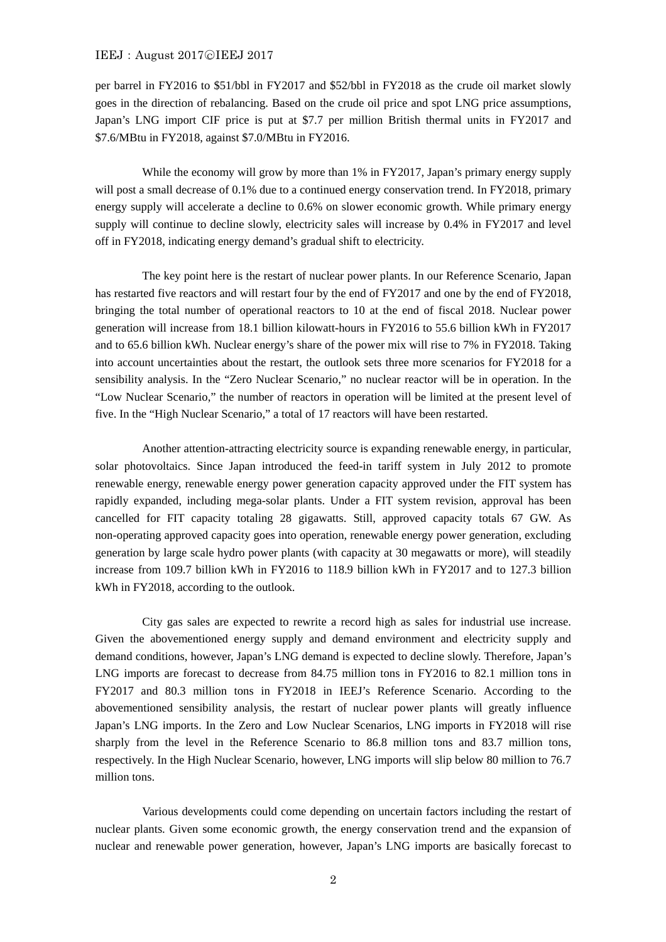## IEEJ: August 2017©IEEJ 2017

per barrel in FY2016 to \$51/bbl in FY2017 and \$52/bbl in FY2018 as the crude oil market slowly goes in the direction of rebalancing. Based on the crude oil price and spot LNG price assumptions, Japan's LNG import CIF price is put at \$7.7 per million British thermal units in FY2017 and \$7.6/MBtu in FY2018, against \$7.0/MBtu in FY2016.

While the economy will grow by more than 1% in FY2017, Japan's primary energy supply will post a small decrease of 0.1% due to a continued energy conservation trend. In FY2018, primary energy supply will accelerate a decline to 0.6% on slower economic growth. While primary energy supply will continue to decline slowly, electricity sales will increase by 0.4% in FY2017 and level off in FY2018, indicating energy demand's gradual shift to electricity.

 The key point here is the restart of nuclear power plants. In our Reference Scenario, Japan has restarted five reactors and will restart four by the end of FY2017 and one by the end of FY2018, bringing the total number of operational reactors to 10 at the end of fiscal 2018. Nuclear power generation will increase from 18.1 billion kilowatt-hours in FY2016 to 55.6 billion kWh in FY2017 and to 65.6 billion kWh. Nuclear energy's share of the power mix will rise to 7% in FY2018. Taking into account uncertainties about the restart, the outlook sets three more scenarios for FY2018 for a sensibility analysis. In the "Zero Nuclear Scenario," no nuclear reactor will be in operation. In the "Low Nuclear Scenario," the number of reactors in operation will be limited at the present level of five. In the "High Nuclear Scenario," a total of 17 reactors will have been restarted.

 Another attention-attracting electricity source is expanding renewable energy, in particular, solar photovoltaics. Since Japan introduced the feed-in tariff system in July 2012 to promote renewable energy, renewable energy power generation capacity approved under the FIT system has rapidly expanded, including mega-solar plants. Under a FIT system revision, approval has been cancelled for FIT capacity totaling 28 gigawatts. Still, approved capacity totals 67 GW. As non-operating approved capacity goes into operation, renewable energy power generation, excluding generation by large scale hydro power plants (with capacity at 30 megawatts or more), will steadily increase from 109.7 billion kWh in FY2016 to 118.9 billion kWh in FY2017 and to 127.3 billion kWh in FY2018, according to the outlook.

 City gas sales are expected to rewrite a record high as sales for industrial use increase. Given the abovementioned energy supply and demand environment and electricity supply and demand conditions, however, Japan's LNG demand is expected to decline slowly. Therefore, Japan's LNG imports are forecast to decrease from 84.75 million tons in FY2016 to 82.1 million tons in FY2017 and 80.3 million tons in FY2018 in IEEJ's Reference Scenario. According to the abovementioned sensibility analysis, the restart of nuclear power plants will greatly influence Japan's LNG imports. In the Zero and Low Nuclear Scenarios, LNG imports in FY2018 will rise sharply from the level in the Reference Scenario to 86.8 million tons and 83.7 million tons, respectively. In the High Nuclear Scenario, however, LNG imports will slip below 80 million to 76.7 million tons.

 Various developments could come depending on uncertain factors including the restart of nuclear plants. Given some economic growth, the energy conservation trend and the expansion of nuclear and renewable power generation, however, Japan's LNG imports are basically forecast to